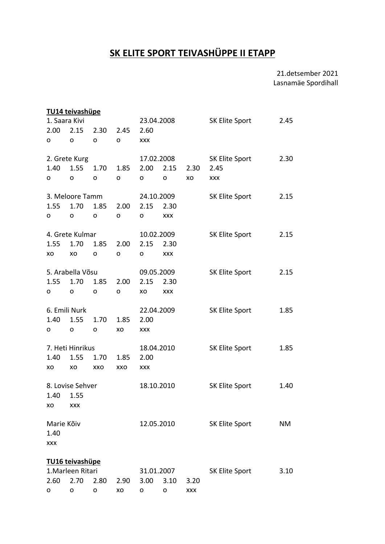## **SK ELITE SPORT TEIVASHÜPPE II ETAPP**

## 21.detsember 2021 Lasnamäe Spordihall

|                    | TU14 teivashüpe  |      |            |            |            |                |                       |      |
|--------------------|------------------|------|------------|------------|------------|----------------|-----------------------|------|
| 1. Saara Kivi      |                  |      |            | 23.04.2008 |            |                | SK Elite Sport        | 2.45 |
| 2.00               | 2.15             | 2.30 | 2.45       | 2.60       |            |                |                       |      |
| o                  | 0                | o    | o          | <b>XXX</b> |            |                |                       |      |
|                    | 2. Grete Kurg    |      |            | 17.02.2008 |            |                | <b>SK Elite Sport</b> | 2.30 |
| 1.40               | 1.55             | 1.70 | 1.85       | 2.00       | 2.15       | 2.30           | 2.45                  |      |
| о                  | O                | o    | O          | o          | O          | XO             | <b>XXX</b>            |      |
|                    | 3. Meloore Tamm  |      |            | 24.10.2009 |            |                | SK Elite Sport        | 2.15 |
| 1.55               | 1.70             | 1.85 | 2.00       | 2.15       | 2.30       |                |                       |      |
| o                  | $\mathsf{o}$     | o    | o          | o          | XXX        |                |                       |      |
|                    | 4. Grete Kulmar  |      |            |            | 10.02.2009 |                | SK Elite Sport        | 2.15 |
| 1.55               | 1.70             | 1.85 | 2.00       | 2.15       | 2.30       |                |                       |      |
| xo                 | XO               | o    | o          | o          | XXX        |                |                       |      |
|                    | 5. Arabella Võsu |      |            | 09.05.2009 |            |                | SK Elite Sport        | 2.15 |
| 1.55               | 1.70             | 1.85 | 2.00       | 2.15       | 2.30       |                |                       |      |
| o                  | o                | o    | o          | XO         | <b>XXX</b> |                |                       |      |
| 6. Emili Nurk      |                  |      |            | 22.04.2009 |            |                | SK Elite Sport        | 1.85 |
| 1.40               | 1.55             | 1.70 | 1.85       | 2.00       |            |                |                       |      |
| о                  | o                | o    | XO         | <b>XXX</b> |            |                |                       |      |
| 7. Heti Hinrikus   |                  |      |            | 18.04.2010 |            |                | SK Elite Sport        | 1.85 |
| 1.40               | 1.55             | 1.70 | 1.85       | 2.00       |            |                |                       |      |
| xo                 | XO               | XXO  | XXO        | <b>XXX</b> |            |                |                       |      |
| 8. Lovise Sehver   |                  |      |            | 18.10.2010 |            |                | <b>SK Elite Sport</b> | 1.40 |
| 1.40<br>1.55       |                  |      |            |            |            |                |                       |      |
| xo                 | <b>XXX</b>       |      |            |            |            |                |                       |      |
| Marie Kõiv         |                  |      | 12.05.2010 |            |            | SK Elite Sport | <b>NM</b>             |      |
| 1.40<br><b>XXX</b> |                  |      |            |            |            |                |                       |      |
|                    | TU16 teivashüpe  |      |            |            |            |                |                       |      |
| 1. Marleen Ritari  |                  |      |            |            | 31.01.2007 |                | <b>SK Elite Sport</b> | 3.10 |
| 2.60               | 2.70             | 2.80 | 2.90       | 3.00       | 3.10       | 3.20           |                       |      |
| о                  | o                | o    | XO         | o          | o          | <b>XXX</b>     |                       |      |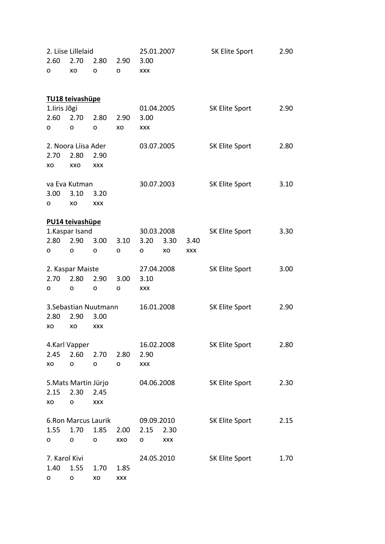| 2. Liise Lillelaid<br>2.60<br>2.70<br>2.90 |                     |                       | 25.01.2007 |                    |            | SK Elite Sport | 2.90           |      |
|--------------------------------------------|---------------------|-----------------------|------------|--------------------|------------|----------------|----------------|------|
| o                                          | xo                  | 2.80<br>o             | o          | 3.00<br><b>XXX</b> |            |                |                |      |
|                                            |                     |                       |            |                    |            |                |                |      |
|                                            | TU18 teivashüpe     |                       |            |                    |            |                |                |      |
| 1.liris Jõgi                               |                     |                       |            |                    | 01.04.2005 |                | SK Elite Sport | 2.90 |
| 2.60                                       | 2.70                | 2.80                  | 2.90       | 3.00               |            |                |                |      |
| o                                          | o                   | o                     | XO         | <b>XXX</b>         |            |                |                |      |
|                                            | 2. Noora Liisa Ader |                       |            |                    | 03.07.2005 |                | SK Elite Sport | 2.80 |
| 2.70                                       | 2.80                | 2.90                  |            |                    |            |                |                |      |
| xo                                         | XXO                 | <b>XXX</b>            |            |                    |            |                |                |      |
|                                            | va Eva Kutman       |                       |            |                    | 30.07.2003 |                | SK Elite Sport | 3.10 |
| 3.00                                       | 3.10                | 3.20                  |            |                    |            |                |                |      |
| о                                          | xо                  | XXX                   |            |                    |            |                |                |      |
|                                            | PU14 teivashüpe     |                       |            |                    |            |                |                |      |
|                                            | 1.Kaspar Isand      |                       |            |                    | 30.03.2008 |                | SK Elite Sport | 3.30 |
| 2.80                                       | 2.90                | 3.00                  | 3.10       | 3.20               | 3.30       | 3.40           |                |      |
| o                                          | o                   | o                     | o          | o                  | XO         | <b>XXX</b>     |                |      |
| 2. Kaspar Maiste                           |                     |                       |            |                    | 27.04.2008 |                | SK Elite Sport | 3.00 |
| 2.70                                       | 2.80                | 2.90                  | 3.00       | 3.10               |            |                |                |      |
| o                                          | o                   | о                     | o          | <b>XXX</b>         |            |                |                |      |
|                                            |                     | 3. Sebastian Nuutmann |            |                    | 16.01.2008 |                | SK Elite Sport | 2.90 |
| 2.80<br>2.90<br>3.00                       |                     |                       |            |                    |            |                |                |      |
| xo                                         | xo                  | XXX                   |            |                    |            |                |                |      |
|                                            | 4.Karl Vapper       |                       |            |                    | 16.02.2008 |                | SK Elite Sport | 2.80 |
| 2.45                                       | 2.60                | 2.70                  | 2.80       | 2.90               |            |                |                |      |
| XO                                         | 0                   | o                     | o          | XXX                |            |                |                |      |
| 5. Mats Martin Jürjo                       |                     |                       |            | 04.06.2008         |            | SK Elite Sport | 2.30           |      |
| 2.15                                       | 2.30                | 2.45                  |            |                    |            |                |                |      |
| XO                                         | o                   | <b>XXX</b>            |            |                    |            |                |                |      |
| 6. Ron Marcus Laurik                       |                     |                       |            | 09.09.2010         |            | SK Elite Sport | 2.15           |      |
| 1.55                                       | 1.70                | 1.85                  | 2.00       | 2.15               | 2.30       |                |                |      |
| o                                          | o                   | O                     | XXO        | o                  | XXX        |                |                |      |
| 7. Karol Kivi                              |                     |                       | 24.05.2010 |                    |            | SK Elite Sport | 1.70           |      |
| 1.40                                       | 1.55                | 1.70                  | 1.85       |                    |            |                |                |      |
| o                                          | o                   | XO                    | <b>XXX</b> |                    |            |                |                |      |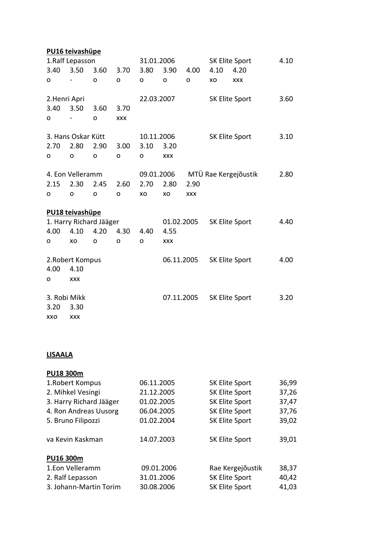|                  | PU16 teivashüpe    |                         |            |            |            |             |                |                      |      |
|------------------|--------------------|-------------------------|------------|------------|------------|-------------|----------------|----------------------|------|
| 1.Ralf Lepasson  |                    |                         |            | 31.01.2006 |            |             |                | SK Elite Sport       | 4.10 |
| 3.40             | 3.50               | 3.60                    | 3.70       | 3.80       | 3.90       | 4.00        | 4.10           | 4.20                 |      |
| O                |                    | O                       | $\circ$    | O          | O          | $\mathbf O$ | XO             | <b>XXX</b>           |      |
| 2.Henri Apri     |                    |                         |            | 22.03.2007 |            |             | SK Elite Sport |                      | 3.60 |
| 3.40             | 3.50               | 3.60                    | 3.70       |            |            |             |                |                      |      |
| O                |                    | $\Omega$                | <b>XXX</b> |            |            |             |                |                      |      |
|                  | 3. Hans Oskar Kütt |                         |            | 10.11.2006 |            |             |                | SK Elite Sport       | 3.10 |
| 2.70             | 2.80               | 2.90                    | 3.00       | 3.10       | 3.20       |             |                |                      |      |
| o                | O                  | O                       | O          | O          | <b>XXX</b> |             |                |                      |      |
|                  | 4. Eon Velleramm   |                         |            | 09.01.2006 |            |             |                | MTÜ Rae Kergejõustik | 2.80 |
| 2.15             | 2.30               | 2.45                    | 2.60       | 2.70       | 2.80       | 2.90        |                |                      |      |
| o                | O                  | o                       | O          | XO         | XO         | <b>XXX</b>  |                |                      |      |
|                  | PU18 teivashüpe    |                         |            |            |            |             |                |                      |      |
|                  |                    | 1. Harry Richard Jääger |            |            | 01.02.2005 |             |                | SK Elite Sport       | 4.40 |
| 4.00             | 4.10               | 4.20                    | 4.30       | 4.40       | 4.55       |             |                |                      |      |
| o                | XO                 | O                       | O          | O          | <b>XXX</b> |             |                |                      |      |
| 2. Robert Kompus |                    |                         |            |            | 06.11.2005 |             |                | SK Elite Sport       | 4.00 |
| 4.00             | 4.10               |                         |            |            |            |             |                |                      |      |
| o                | <b>XXX</b>         |                         |            |            |            |             |                |                      |      |
| 3. Robi Mikk     |                    |                         |            |            |            | 07.11.2005  |                | SK Elite Sport       | 3.20 |
| 3.20             | 3.30               |                         |            |            |            |             |                |                      |      |
| XXO              | <b>XXX</b>         |                         |            |            |            |             |                |                      |      |

## **LISAALA**

| PU18 300m               |            |                       |       |
|-------------------------|------------|-----------------------|-------|
| 1. Robert Kompus        | 06.11.2005 | SK Elite Sport        | 36,99 |
| 2. Mihkel Vesingi       | 21.12.2005 | SK Elite Sport        | 37,26 |
| 3. Harry Richard Jääger | 01.02.2005 | SK Elite Sport        | 37,47 |
| 4. Ron Andreas Uusorg   | 06.04.2005 | SK Elite Sport        | 37,76 |
| 5. Bruno Filipozzi      | 01.02.2004 | SK Elite Sport        | 39,02 |
| va Kevin Kaskman        | 14.07.2003 | <b>SK Elite Sport</b> | 39,01 |
| PU16 300m               |            |                       |       |
| 1.Eon Velleramm         | 09.01.2006 | Rae Kergejõustik      | 38,37 |
| 2. Ralf Lepasson        | 31.01.2006 | <b>SK Elite Sport</b> | 40,42 |
| 3. Johann-Martin Torim  | 30.08.2006 | SK Elite Sport        | 41,03 |
|                         |            |                       |       |